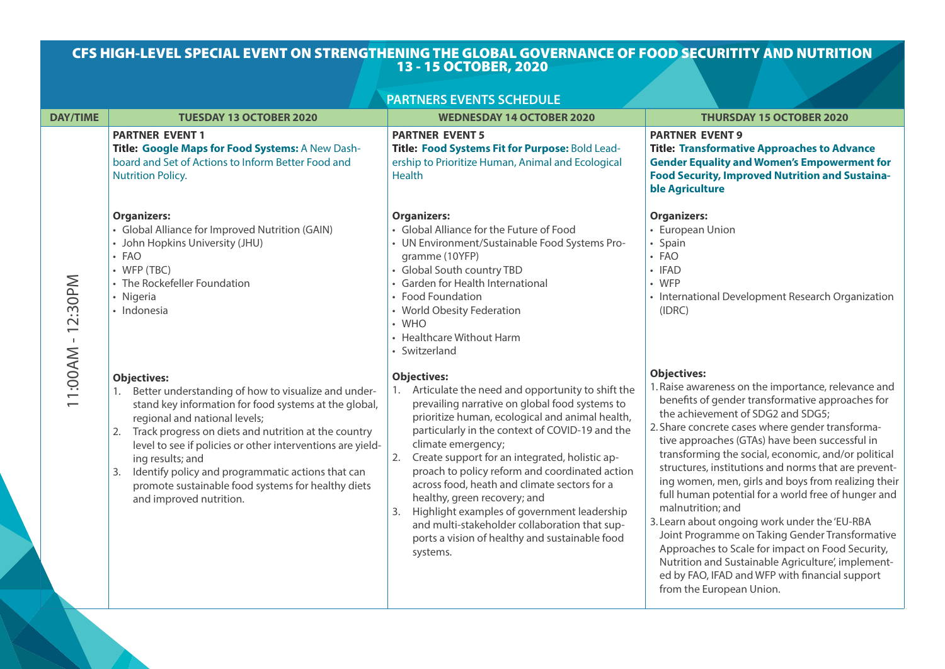# CFS HIGH-LEVEL SPECIAL EVENT ON STRENGTHENING THE GLOBAL GOVERNANCE OF FOOD SECURITITY AND NUTRITION 13 - 15 OCTOBER, 2020

|                 |                                                                                                                                                                                                                                                                                                                                                                                                                                                              | <b>PARTNERS EVENTS SCHEDULE</b>                                                                                                                                                                                                                                                                                                                                                                                                                                                                                                                                                                                 |                                                                                                                                                                                                                                                                                                                                                                                                                                                                                                                                                                                                                                                                                                                                                                                                                        |
|-----------------|--------------------------------------------------------------------------------------------------------------------------------------------------------------------------------------------------------------------------------------------------------------------------------------------------------------------------------------------------------------------------------------------------------------------------------------------------------------|-----------------------------------------------------------------------------------------------------------------------------------------------------------------------------------------------------------------------------------------------------------------------------------------------------------------------------------------------------------------------------------------------------------------------------------------------------------------------------------------------------------------------------------------------------------------------------------------------------------------|------------------------------------------------------------------------------------------------------------------------------------------------------------------------------------------------------------------------------------------------------------------------------------------------------------------------------------------------------------------------------------------------------------------------------------------------------------------------------------------------------------------------------------------------------------------------------------------------------------------------------------------------------------------------------------------------------------------------------------------------------------------------------------------------------------------------|
| <b>DAY/TIME</b> | <b>TUESDAY 13 OCTOBER 2020</b>                                                                                                                                                                                                                                                                                                                                                                                                                               | <b>WEDNESDAY 14 OCTOBER 2020</b>                                                                                                                                                                                                                                                                                                                                                                                                                                                                                                                                                                                | <b>THURSDAY 15 OCTOBER 2020</b>                                                                                                                                                                                                                                                                                                                                                                                                                                                                                                                                                                                                                                                                                                                                                                                        |
|                 | <b>PARTNER EVENT 1</b><br>Title: Google Maps for Food Systems: A New Dash-<br>board and Set of Actions to Inform Better Food and<br><b>Nutrition Policy.</b>                                                                                                                                                                                                                                                                                                 | <b>PARTNER EVENT 5</b><br>Title: Food Systems Fit for Purpose: Bold Lead-<br>ership to Prioritize Human, Animal and Ecological<br><b>Health</b>                                                                                                                                                                                                                                                                                                                                                                                                                                                                 | <b>PARTNER EVENT 9</b><br><b>Title: Transformative Approaches to Advance</b><br><b>Gender Equality and Women's Empowerment for</b><br><b>Food Security, Improved Nutrition and Sustaina-</b><br>ble Agriculture                                                                                                                                                                                                                                                                                                                                                                                                                                                                                                                                                                                                        |
| 11:00AM-12:30PM | <b>Organizers:</b><br>• Global Alliance for Improved Nutrition (GAIN)<br>• John Hopkins University (JHU)<br>· FAO<br>$\cdot$ WFP (TBC)<br>• The Rockefeller Foundation<br>• Nigeria<br>· Indonesia                                                                                                                                                                                                                                                           | <b>Organizers:</b><br>• Global Alliance for the Future of Food<br>• UN Environment/Sustainable Food Systems Pro-<br>gramme (10YFP)<br>• Global South country TBD<br>• Garden for Health International<br>• Food Foundation<br>• World Obesity Federation<br>$\cdot$ WHO<br>• Healthcare Without Harm<br>• Switzerland                                                                                                                                                                                                                                                                                           | <b>Organizers:</b><br>• European Union<br>• Spain<br>· FAO<br>• IFAD<br>$\cdot$ WFP<br>• International Development Research Organization<br>(IDRC)                                                                                                                                                                                                                                                                                                                                                                                                                                                                                                                                                                                                                                                                     |
|                 | <b>Objectives:</b><br>Better understanding of how to visualize and under-<br>stand key information for food systems at the global,<br>regional and national levels;<br>2. Track progress on diets and nutrition at the country<br>level to see if policies or other interventions are yield-<br>ing results; and<br>Identify policy and programmatic actions that can<br>3.<br>promote sustainable food systems for healthy diets<br>and improved nutrition. | <b>Objectives:</b><br>1. Articulate the need and opportunity to shift the<br>prevailing narrative on global food systems to<br>prioritize human, ecological and animal health,<br>particularly in the context of COVID-19 and the<br>climate emergency;<br>Create support for an integrated, holistic ap-<br>2.<br>proach to policy reform and coordinated action<br>across food, heath and climate sectors for a<br>healthy, green recovery; and<br>Highlight examples of government leadership<br>and multi-stakeholder collaboration that sup-<br>ports a vision of healthy and sustainable food<br>systems. | <b>Objectives:</b><br>1. Raise awareness on the importance, relevance and<br>benefits of gender transformative approaches for<br>the achievement of SDG2 and SDG5;<br>2. Share concrete cases where gender transforma-<br>tive approaches (GTAs) have been successful in<br>transforming the social, economic, and/or political<br>structures, institutions and norms that are prevent-<br>ing women, men, girls and boys from realizing their<br>full human potential for a world free of hunger and<br>malnutrition; and<br>3. Learn about ongoing work under the 'EU-RBA<br>Joint Programme on Taking Gender Transformative<br>Approaches to Scale for impact on Food Security,<br>Nutrition and Sustainable Agriculture', implement-<br>ed by FAO, IFAD and WFP with financial support<br>from the European Union. |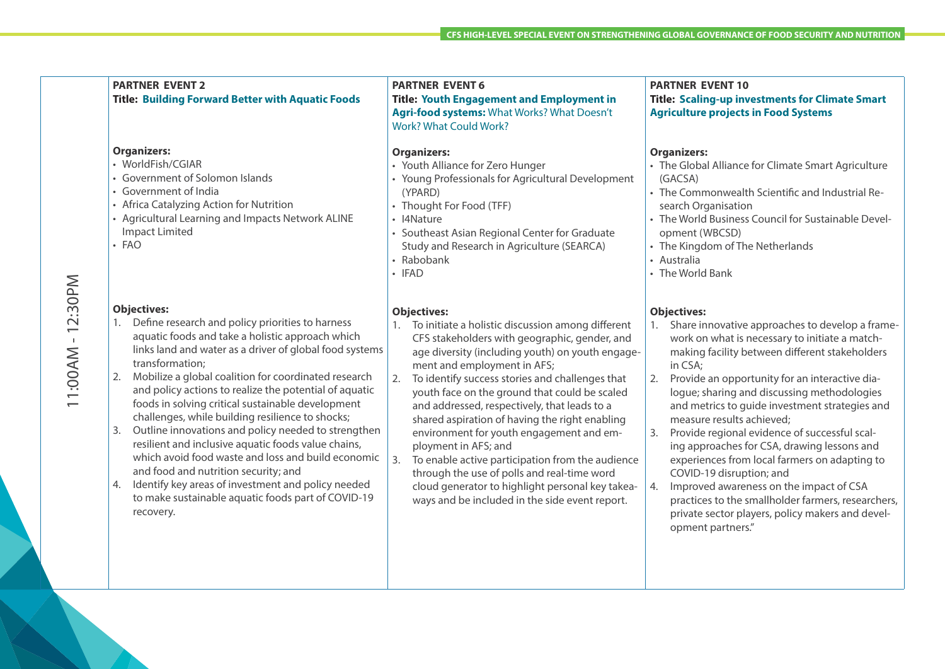|                   | <b>PARTNER EVENT 2</b><br><b>Title: Building Forward Better with Aquatic Foods</b>                                                                                                                                                                                                                                                                                                                                                                                                                                                                                                                                                                                                                                                                                                               | <b>PARTNER EVENT 6</b><br><b>Title: Youth Engagement and Employment in</b><br>Agri-food systems: What Works? What Doesn't<br><b>Work? What Could Work?</b>                                                                                                                                                                                                                                                                                                                                                                                                                                                                                                                                           | <b>PARTNER EVENT 10</b><br><b>Title: Scaling-up investments for Climate Smart</b><br><b>Agriculture projects in Food Systems</b>                                                                                                                                                                                                                                                                                                                                                                                                                                                                                                                                                                                                                 |
|-------------------|--------------------------------------------------------------------------------------------------------------------------------------------------------------------------------------------------------------------------------------------------------------------------------------------------------------------------------------------------------------------------------------------------------------------------------------------------------------------------------------------------------------------------------------------------------------------------------------------------------------------------------------------------------------------------------------------------------------------------------------------------------------------------------------------------|------------------------------------------------------------------------------------------------------------------------------------------------------------------------------------------------------------------------------------------------------------------------------------------------------------------------------------------------------------------------------------------------------------------------------------------------------------------------------------------------------------------------------------------------------------------------------------------------------------------------------------------------------------------------------------------------------|--------------------------------------------------------------------------------------------------------------------------------------------------------------------------------------------------------------------------------------------------------------------------------------------------------------------------------------------------------------------------------------------------------------------------------------------------------------------------------------------------------------------------------------------------------------------------------------------------------------------------------------------------------------------------------------------------------------------------------------------------|
|                   | <b>Organizers:</b><br>• WorldFish/CGIAR<br>• Government of Solomon Islands<br>• Government of India<br>• Africa Catalyzing Action for Nutrition<br>• Agricultural Learning and Impacts Network ALINE<br><b>Impact Limited</b><br>• FAO                                                                                                                                                                                                                                                                                                                                                                                                                                                                                                                                                           | <b>Organizers:</b><br>• Youth Alliance for Zero Hunger<br>• Young Professionals for Agricultural Development<br>(YPARD)<br>• Thought For Food (TFF)<br>• I4Nature<br>• Southeast Asian Regional Center for Graduate<br>Study and Research in Agriculture (SEARCA)<br>• Rabobank<br>· IFAD                                                                                                                                                                                                                                                                                                                                                                                                            | <b>Organizers:</b><br>• The Global Alliance for Climate Smart Agriculture<br>(GACSA)<br>• The Commonwealth Scientific and Industrial Re-<br>search Organisation<br>• The World Business Council for Sustainable Devel-<br>opment (WBCSD)<br>• The Kingdom of The Netherlands<br>• Australia<br>• The World Bank                                                                                                                                                                                                                                                                                                                                                                                                                                  |
| 11:00AM - 12:30PM | <b>Objectives:</b><br>Define research and policy priorities to harness<br>1.<br>aquatic foods and take a holistic approach which<br>links land and water as a driver of global food systems<br>transformation;<br>Mobilize a global coalition for coordinated research<br>2.<br>and policy actions to realize the potential of aquatic<br>foods in solving critical sustainable development<br>challenges, while building resilience to shocks;<br>Outline innovations and policy needed to strengthen<br>3.<br>resilient and inclusive aquatic foods value chains,<br>which avoid food waste and loss and build economic<br>and food and nutrition security; and<br>Identify key areas of investment and policy needed<br>4.<br>to make sustainable aquatic foods part of COVID-19<br>recovery. | <b>Objectives:</b><br>To initiate a holistic discussion among different<br>CFS stakeholders with geographic, gender, and<br>age diversity (including youth) on youth engage-<br>ment and employment in AFS;<br>To identify success stories and challenges that<br>youth face on the ground that could be scaled<br>and addressed, respectively, that leads to a<br>shared aspiration of having the right enabling<br>environment for youth engagement and em-<br>ployment in AFS; and<br>To enable active participation from the audience<br>3.<br>through the use of polls and real-time word<br>cloud generator to highlight personal key takea-<br>ways and be included in the side event report. | <b>Objectives:</b><br>1. Share innovative approaches to develop a frame-<br>work on what is necessary to initiate a match-<br>making facility between different stakeholders<br>in CSA;<br>2.<br>Provide an opportunity for an interactive dia-<br>logue; sharing and discussing methodologies<br>and metrics to guide investment strategies and<br>measure results achieved;<br>Provide regional evidence of successful scal-<br>3.<br>ing approaches for CSA, drawing lessons and<br>experiences from local farmers on adapting to<br>COVID-19 disruption; and<br>Improved awareness on the impact of CSA<br>4.<br>practices to the smallholder farmers, researchers,<br>private sector players, policy makers and devel-<br>opment partners." |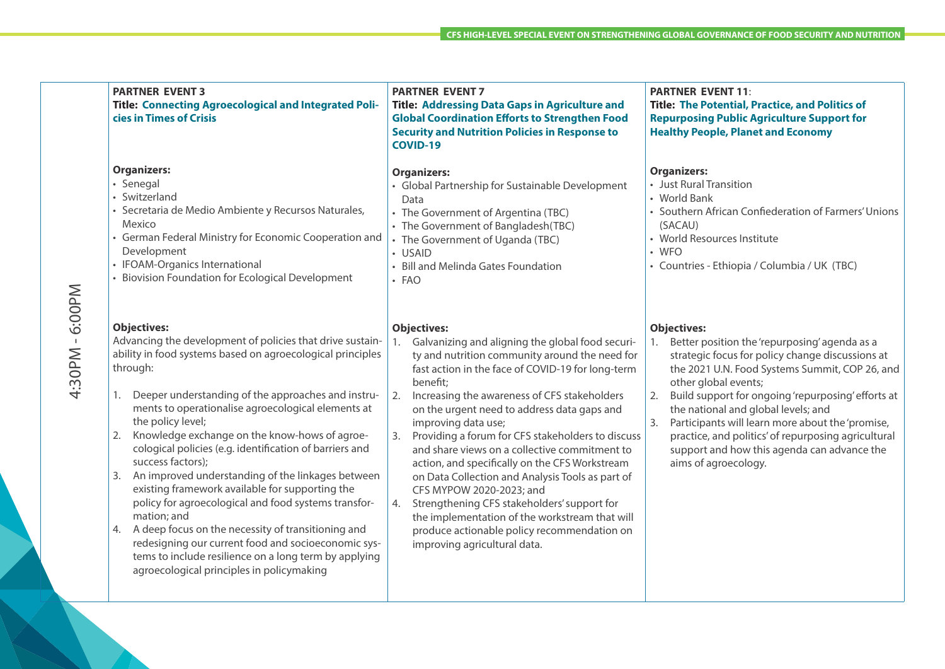|                   | <b>PARTNER EVENT 3</b><br><b>Title: Connecting Agroecological and Integrated Poli-</b><br>cies in Times of Crisis                                                                                                                                                                                                                                                                                                                                                                                                                                                                                                                                                                                                                                                                                                                               | <b>PARTNER EVENT 7</b><br><b>Title: Addressing Data Gaps in Agriculture and</b><br><b>Global Coordination Efforts to Strengthen Food</b><br><b>Security and Nutrition Policies in Response to</b><br><b>COVID-19</b>                                                                                                                                                                                                                                                                                                                                                                                                                                                                                                                                | <b>PARTNER EVENT 11:</b><br><b>Title: The Potential, Practice, and Politics of</b><br><b>Repurposing Public Agriculture Support for</b><br><b>Healthy People, Planet and Economy</b>                                                                                                                                                                                                                                                                                                            |
|-------------------|-------------------------------------------------------------------------------------------------------------------------------------------------------------------------------------------------------------------------------------------------------------------------------------------------------------------------------------------------------------------------------------------------------------------------------------------------------------------------------------------------------------------------------------------------------------------------------------------------------------------------------------------------------------------------------------------------------------------------------------------------------------------------------------------------------------------------------------------------|-----------------------------------------------------------------------------------------------------------------------------------------------------------------------------------------------------------------------------------------------------------------------------------------------------------------------------------------------------------------------------------------------------------------------------------------------------------------------------------------------------------------------------------------------------------------------------------------------------------------------------------------------------------------------------------------------------------------------------------------------------|-------------------------------------------------------------------------------------------------------------------------------------------------------------------------------------------------------------------------------------------------------------------------------------------------------------------------------------------------------------------------------------------------------------------------------------------------------------------------------------------------|
| 6:00PM            | <b>Organizers:</b><br>· Senegal<br>• Switzerland<br>· Secretaria de Medio Ambiente y Recursos Naturales,<br>Mexico<br>• German Federal Ministry for Economic Cooperation and<br>Development<br>• IFOAM-Organics International<br>Biovision Foundation for Ecological Development                                                                                                                                                                                                                                                                                                                                                                                                                                                                                                                                                                | <b>Organizers:</b><br>• Global Partnership for Sustainable Development<br>Data<br>• The Government of Argentina (TBC)<br>• The Government of Bangladesh(TBC)<br>• The Government of Uganda (TBC)<br>• USAID<br>• Bill and Melinda Gates Foundation<br>· FAO                                                                                                                                                                                                                                                                                                                                                                                                                                                                                         | <b>Organizers:</b><br>• Just Rural Transition<br>• World Bank<br>• Southern African Confiederation of Farmers' Unions<br>(SACAU)<br>• World Resources Institute<br>$\cdot$ WFO<br>· Countries - Ethiopia / Columbia / UK (TBC)                                                                                                                                                                                                                                                                  |
| $\perp$<br>4:30PM | <b>Objectives:</b><br>Advancing the development of policies that drive sustain-<br>ability in food systems based on agroecological principles<br>through:<br>Deeper understanding of the approaches and instru-<br>1.<br>ments to operationalise agroecological elements at<br>the policy level;<br>Knowledge exchange on the know-hows of agroe-<br>2.<br>cological policies (e.g. identification of barriers and<br>success factors);<br>An improved understanding of the linkages between<br>3.<br>existing framework available for supporting the<br>policy for agroecological and food systems transfor-<br>mation; and<br>A deep focus on the necessity of transitioning and<br>redesigning our current food and socioeconomic sys-<br>tems to include resilience on a long term by applying<br>agroecological principles in policymaking | <b>Objectives:</b><br>Galvanizing and aligning the global food securi-<br>ty and nutrition community around the need for<br>fast action in the face of COVID-19 for long-term<br>benefit;<br>2.<br>Increasing the awareness of CFS stakeholders<br>on the urgent need to address data gaps and<br>improving data use;<br>Providing a forum for CFS stakeholders to discuss<br>and share views on a collective commitment to<br>action, and specifically on the CFS Workstream<br>on Data Collection and Analysis Tools as part of<br>CFS MYPOW 2020-2023; and<br>Strengthening CFS stakeholders' support for<br>4.<br>the implementation of the workstream that will<br>produce actionable policy recommendation on<br>improving agricultural data. | <b>Objectives:</b><br>1. Better position the 'repurposing' agenda as a<br>strategic focus for policy change discussions at<br>the 2021 U.N. Food Systems Summit, COP 26, and<br>other global events;<br>Build support for ongoing 'repurposing' efforts at<br>2.<br>the national and global levels; and<br>Participants will learn more about the 'promise,<br>3.<br>practice, and politics' of repurposing agricultural<br>support and how this agenda can advance the<br>aims of agroecology. |